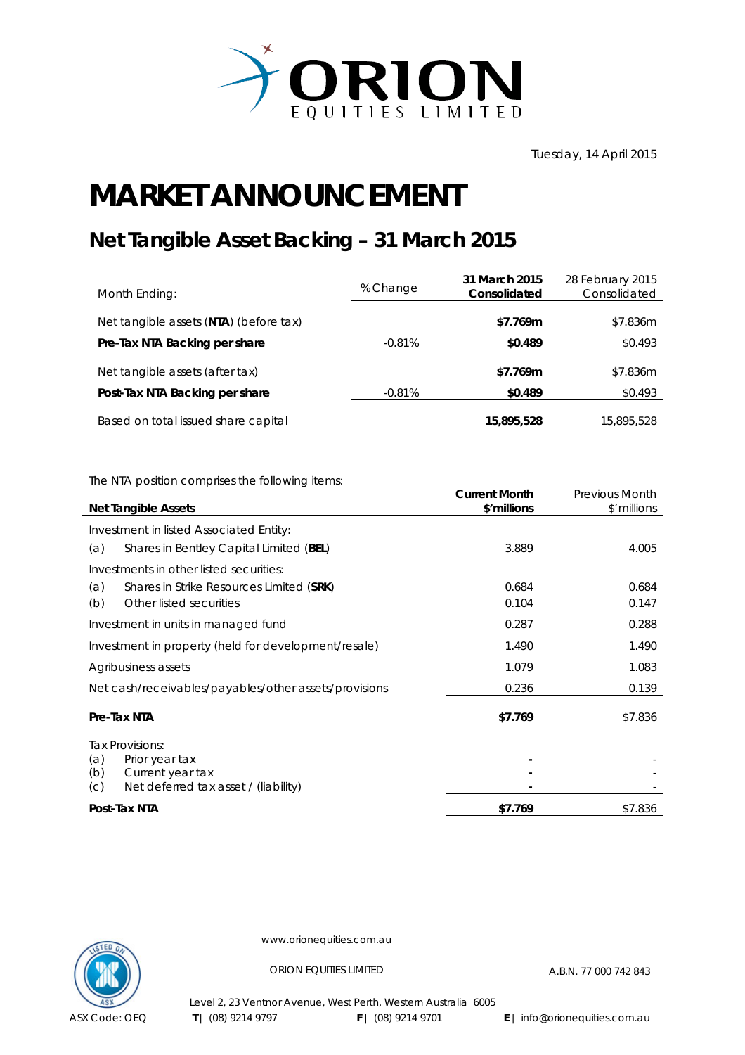

## **MARKET ANNOUNCEMENT**

## **Net Tangible Asset Backing – 31 March 2015**

| Month Ending:                          | % Change | 31 March 2015<br>Consolidated | 28 February 2015<br>Consolidated |
|----------------------------------------|----------|-------------------------------|----------------------------------|
| Net tangible assets (NTA) (before tax) |          | \$7.769m                      | \$7.836m                         |
| Pre-Tax NTA Backing per share          | $-0.81%$ | \$0.489                       | \$0.493                          |
| Net tangible assets (after tax)        |          | \$7.769m                      | \$7.836m                         |
| Post-Tax NTA Backing per share         | $-0.81%$ | \$0.489                       | \$0.493                          |
| Based on total issued share capital    |          | 15,895,528                    | 15,895,528                       |

The NTA position comprises the following items:

|                                                       | <b>Current Month</b> | <b>Previous Month</b> |
|-------------------------------------------------------|----------------------|-----------------------|
| <b>Net Tangible Assets</b>                            | \$'millions          | \$'millions           |
| Investment in listed Associated Entity:               |                      |                       |
| Shares in Bentley Capital Limited (BEL)<br>(a)        | 3.889                | 4.005                 |
| Investments in other listed securities:               |                      |                       |
| Shares in Strike Resources Limited (SRK)<br>(a)       | 0.684                | 0.684                 |
| (b)<br>Other listed securities                        | 0.104                | 0.147                 |
| Investment in units in managed fund                   | 0.287                | 0.288                 |
| Investment in property (held for development/resale)  | 1.490                | 1.490                 |
| Agribusiness assets                                   | 1.079                | 1.083                 |
| Net cash/receivables/payables/other assets/provisions | 0.236                | 0.139                 |
| Pre-Tax NTA                                           | \$7.769              | \$7.836               |
| Tax Provisions:                                       |                      |                       |
| (a)<br>Prior year tax                                 |                      |                       |
| (b)<br>Current year tax                               |                      |                       |
| Net deferred tax asset / (liability)<br>(C)           |                      |                       |
| Post-Tax NTA                                          | \$7.769              | \$7.836               |



www.orionequities.com.au

ORION EQUITIES LIMITED A.B.N. 77 000 742 843

Level 2, 23 Ventnor Avenue, West Perth, Western Australia 6005  **T** | (08) 9214 9797 **F** | (08) 9214 9701 **E** | info@orionequities.com.au